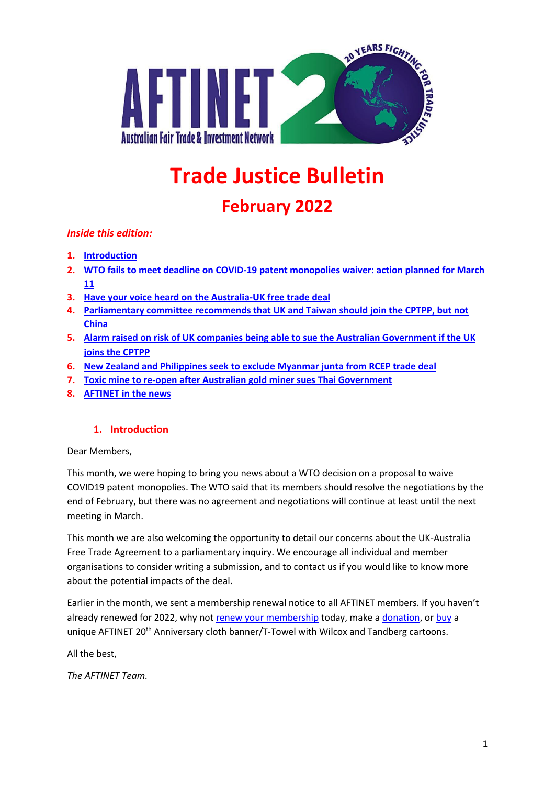

# **Trade Justice Bulletin**

# **February 2022**

#### *Inside this edition:*

- **1. [Introduction](#page-0-0)**
- **2. WTO fails to meet deadline on COVID-19 [patent monopolies waiver: action planned for March](#page-1-0)  [11](#page-1-0)**
- **3. [Have your voice heard on the Australia-UK free trade deal](#page-1-1)**
- **4. [Parliamentary committee recommends that UK and Taiwan should join the CPTPP, but not](#page-2-0)  [China](#page-2-0)**
- **5. Alarm raised [on risk of UK companies being able to sue the Australian Government](#page-2-1) if the UK [joins the CPTPP](#page-2-1)**
- **6. [New Zealand and Philippines seek to exclude Myanmar junta from RCEP trade deal](#page-3-0)**
- **7. [Toxic mine to re-open after Australian gold miner sues Thai Government](#page-3-1)**
- **8. [AFTINET in the news](#page-3-2)**

#### **1. Introduction**

<span id="page-0-0"></span>Dear Members,

This month, we were hoping to bring you news about a WTO decision on a proposal to waive COVID19 patent monopolies. The WTO said that its members should resolve the negotiations by the end of February, but there was no agreement and negotiations will continue at least until the next meeting in March.

This month we are also welcoming the opportunity to detail our concerns about the UK-Australia Free Trade Agreement to a parliamentary inquiry. We encourage all individual and member organisations to consider writing a submission, and to contact us if you would like to know more about the potential impacts of the deal.

Earlier in the month, we sent a membership renewal notice to all AFTINET members. If you haven't already renewed for 2022, why no[t renew your membership](http://aftinet.org.au/cms/aftinet-membership) today, make a [donation,](http://aftinet.org.au/cms/donate) o[r buy](http://aftinet.org.au/cms/node/1889) a unique AFTINET 20<sup>th</sup> Anniversary cloth banner/T-Towel with Wilcox and Tandberg cartoons.

All the best,

*The AFTINET Team.*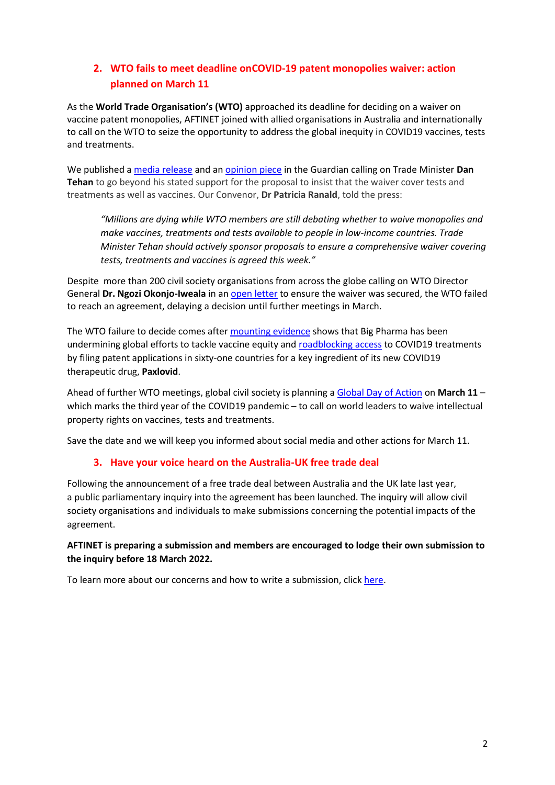# <span id="page-1-0"></span>**2. WTO fails to meet deadline onCOVID-19 patent monopolies waiver: action planned on March 11**

As the **World Trade Organisation's (WTO)** approached its deadline for deciding on a waiver on vaccine patent monopolies, AFTINET joined with allied organisations in Australia and internationally to call on the WTO to seize the opportunity to address the global inequity in COVID19 vaccines, tests and treatments.

We published [a media release](http://aftinet.org.au/cms/wto-must-fix-unjust-global-access-to-vaccines-treatments-and-tests) and an [opinion piece](https://www.theguardian.com/commentisfree/2022/feb/23/trade-rules-have-thwarted-global-efforts-to-fight-covid-the-wto-must-deliver-on-a-vaccine-ip-waiver) in the Guardian calling on Trade Minister **Dan Tehan** to go beyond his stated support for the proposal to insist that the waiver cover tests and treatments as well as vaccines. Our Convenor, **Dr Patricia Ranald**, told the press:

*"Millions are dying while WTO members are still debating whether to waive monopolies and make vaccines, treatments and tests available to people in low-income countries. Trade Minister Tehan should actively sponsor proposals to ensure a comprehensive waiver covering tests, treatments and vaccines is agreed this week."*

Despite more than 200 civil society organisations from across the globe calling on WTO Director General **Dr. Ngozi Okonjo-Iweala** in a[n open letter](http://aftinet.org.au/cms/aftinet-joins-global-civil-society-open-letter-to-wto) to ensure the waiver was secured, the WTO failed to reach an agreement, delaying a decision until further meetings in March.

The WTO failure to decide comes after [mounting evidence](http://aftinet.org.au/cms/evidence-mounts-on-Big-Pharma-efforts-to-undermine-global-vaccine-equity) shows that Big Pharma has been undermining global efforts to tackle vaccine equity and [roadblocking](http://aftinet.org.au/cms/investigations-reveal-pfizer-roadblocking-access-to-COVID19-treatments) [access](javascript:void(0)/*1986*/) to COVID19 treatments by filing patent applications in sixty-one countries for a key ingredient of its new COVID19 therapeutic drug, **Paxlovid**.

Ahead of further WTO meetings, global civil society is planning [a Global Day of Action](https://peoplesvaccine.org/take-action/end-covid-monopolies/) on **March 11** – which marks the third year of the COVID19 pandemic – to call on world leaders to waive intellectual property rights on vaccines, tests and treatments.

<span id="page-1-1"></span>Save the date and we will keep you informed about social media and other actions for March 11.

#### **3. Have your voice heard on the Australia-UK free trade deal**

Following the announcement of a free trade deal between Australia and the UK late last year, a public parliamentary inquiry into the agreement has been launched. The inquiry will allow civil society organisations and individuals to make submissions concerning the potential impacts of the agreement.

#### **AFTINET is preparing a submission and members are encouraged to lodge their own submission to the inquiry before 18 March 2022.**

To learn more about our concerns and how to write a submission, clic[k here.](http://aftinet.org.au/cms/inquiry-into-australia-uk-trade-deal)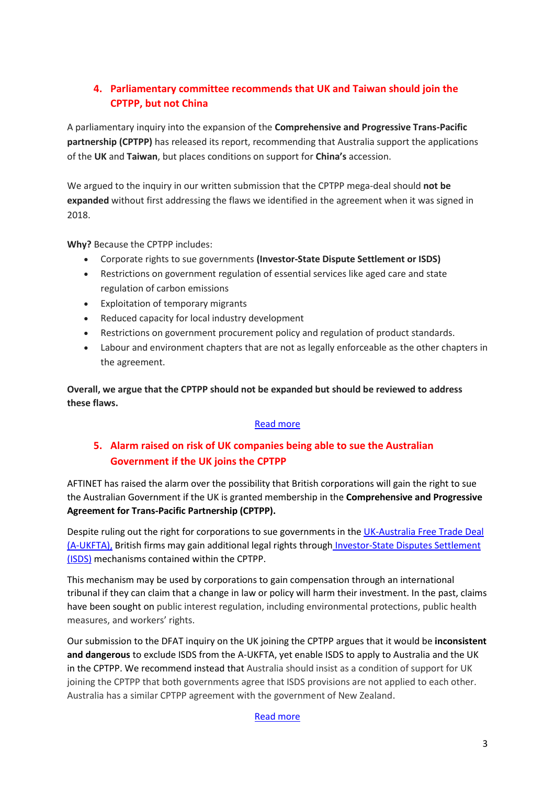# <span id="page-2-0"></span>**4. Parliamentary committee recommends that UK and Taiwan should join the CPTPP, but not China**

A parliamentary inquiry into the expansion of the **Comprehensive and Progressive Trans-Pacific partnership (CPTPP)** has released its report, recommending that Australia support the applications of the **UK** and **Taiwan**, but places conditions on support for **China's** accession.

We argued to the inquiry in our written submission that the CPTPP mega-deal should **not be expanded** without first addressing the flaws we identified in the agreement when it was signed in 2018.

**Why?** Because the CPTPP includes:

- Corporate rights to sue governments **(Investor-State Dispute Settlement or ISDS)**
- Restrictions on government regulation of essential services like aged care and state regulation of carbon emissions
- Exploitation of temporary migrants
- Reduced capacity for local industry development
- Restrictions on government procurement policy and regulation of product standards.
- Labour and environment chapters that are not as legally enforceable as the other chapters in the agreement.

**Overall, we argue that the CPTPP should not be expanded but should be reviewed to address these flaws.**

#### [Read more](http://aftinet.org.au/cms/parliamentary-committee-recommends-UK-and-Taiwan-join-CPTPP)

# <span id="page-2-1"></span>**5. Alarm raised on risk of UK companies being able to sue the Australian Government if the UK joins the CPTPP**

AFTINET has raised the alarm over the possibility that British corporations will gain the right to sue the Australian Government if the UK is granted membership in the **Comprehensive and Progressive Agreement for Trans-Pacific Partnership (CPTPP).**

Despite ruling out the right for corporations to sue governments in the [UK-Australia Free Trade Deal](http://aftinet.org.au/cms/UK-FTA)  [\(A-UKFTA\),](http://aftinet.org.au/cms/UK-FTA) British firms may gain additional legal rights through [Investor-State Disputes Settlement](http://aftinet.org.au/cms/ISDS)  [\(ISDS\)](http://aftinet.org.au/cms/ISDS) mechanisms contained within the CPTPP.

This mechanism may be used by corporations to gain compensation through an international tribunal if they can claim that a change in law or policy will harm their investment. In the past, claims have been sought on public interest regulation, including environmental protections, public health measures, and workers' rights.

Our submission to the DFAT inquiry on the UK joining the CPTPP argues that it would be **inconsistent and dangerous** to exclude ISDS from the A-UKFTA, yet enable ISDS to apply to Australia and the UK in the CPTPP. We recommend instead that Australia should insist as a condition of support for UK joining the CPTPP that both governments agree that ISDS provisions are not applied to each other. Australia has a similar CPTPP agreement with the government of New Zealand.

[Read more](http://aftinet.org.au/cms/aftinet-raises-alarm-on-ISDS-risk)